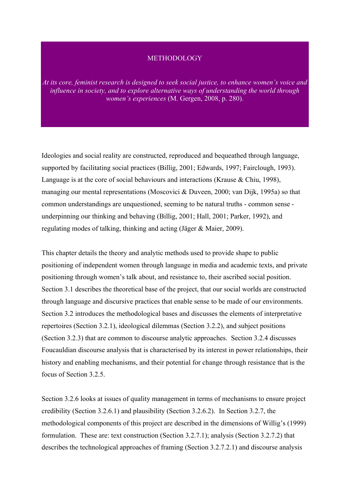#### **METHODOLOGY**

*At its core, feminist research is designed to seek social justice, to enhance women's voice and influence in society, and to explore alternative ways of understanding the world through women's experiences* (M. Gergen, 2008, p. 280).

Ideologies and social reality are constructed, reproduced and bequeathed through language, supported by facilitating social practices (Billig, 2001; Edwards, 1997; Fairclough, 1993). Language is at the core of social behaviours and interactions (Krause & Chiu, 1998), managing our mental representations (Moscovici & Duveen, 2000; van Dijk, 1995a) so that common understandings are unquestioned, seeming to be natural truths - common sense underpinning our thinking and behaving (Billig, 2001; Hall, 2001; Parker, 1992), and regulating modes of talking, thinking and acting (Jäger & Maier, 2009).

This chapter details the theory and analytic methods used to provide shape to public positioning of independent women through language in media and academic texts, and private positioning through women's talk about, and resistance to, their ascribed social position. Section 3.1 describes the theoretical base of the project, that our social worlds are constructed through language and discursive practices that enable sense to be made of our environments. Section 3.2 introduces the methodological bases and discusses the elements of interpretative repertoires (Section 3.2.1), ideological dilemmas (Section 3.2.2), and subject positions (Section 3.2.3) that are common to discourse analytic approaches. Section 3.2.4 discusses Foucauldian discourse analysis that is characterised by its interest in power relationships, their history and enabling mechanisms, and their potential for change through resistance that is the focus of Section 3.2.5.

Section 3.2.6 looks at issues of quality management in terms of mechanisms to ensure project credibility (Section 3.2.6.1) and plausibility (Section 3.2.6.2). In Section 3.2.7, the methodological components of this project are described in the dimensions of Willig's (1999) formulation. These are: text construction (Section 3.2.7.1); analysis (Section 3.2.7.2) that describes the technological approaches of framing (Section 3.2.7.2.1) and discourse analysis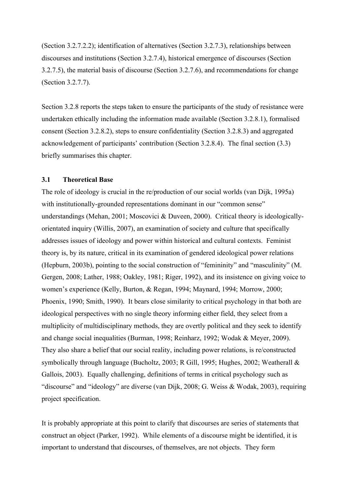(Section 3.2.7.2.2); identification of alternatives (Section 3.2.7.3), relationships between discourses and institutions (Section 3.2.7.4), historical emergence of discourses (Section 3.2.7.5), the material basis of discourse (Section 3.2.7.6), and recommendations for change (Section 3.2.7.7).

Section 3.2.8 reports the steps taken to ensure the participants of the study of resistance were undertaken ethically including the information made available (Section 3.2.8.1), formalised consent (Section 3.2.8.2), steps to ensure confidentiality (Section 3.2.8.3) and aggregated acknowledgement of participants' contribution (Section 3.2.8.4). The final section (3.3) briefly summarises this chapter.

## **3.1 Theoretical Base**

The role of ideology is crucial in the re/production of our social worlds (van Dijk, 1995a) with institutionally-grounded representations dominant in our "common sense" understandings (Mehan, 2001; Moscovici & Duveen, 2000). Critical theory is ideologicallyorientated inquiry (Willis, 2007), an examination of society and culture that specifically addresses issues of ideology and power within historical and cultural contexts. Feminist theory is, by its nature, critical in its examination of gendered ideological power relations (Hepburn, 2003b), pointing to the social construction of "femininity" and "masculinity" (M. Gergen, 2008; Lather, 1988; Oakley, 1981; Riger, 1992), and its insistence on giving voice to women's experience (Kelly, Burton, & Regan, 1994; Maynard, 1994; Morrow, 2000; Phoenix, 1990; Smith, 1990). It bears close similarity to critical psychology in that both are ideological perspectives with no single theory informing either field, they select from a multiplicity of multidisciplinary methods, they are overtly political and they seek to identify and change social inequalities (Burman, 1998; Reinharz, 1992; Wodak & Meyer, 2009). They also share a belief that our social reality, including power relations, is re/constructed symbolically through language (Bucholtz, 2003; R Gill, 1995; Hughes, 2002; Weatherall & Gallois, 2003). Equally challenging, definitions of terms in critical psychology such as "discourse" and "ideology" are diverse (van Dijk, 2008; G. Weiss & Wodak, 2003), requiring project specification.

It is probably appropriate at this point to clarify that discourses are series of statements that construct an object (Parker, 1992). While elements of a discourse might be identified, it is important to understand that discourses, of themselves, are not objects. They form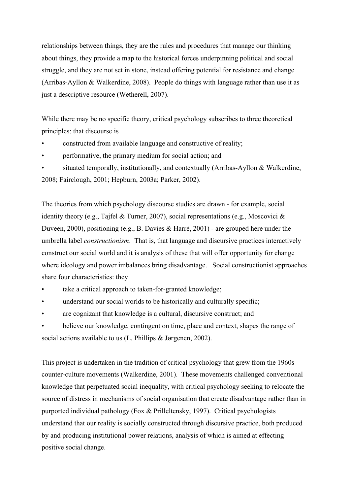relationships between things, they are the rules and procedures that manage our thinking about things, they provide a map to the historical forces underpinning political and social struggle, and they are not set in stone, instead offering potential for resistance and change (Arribas-Ayllon & Walkerdine, 2008). People do things with language rather than use it as just a descriptive resource (Wetherell, 2007).

While there may be no specific theory, critical psychology subscribes to three theoretical principles: that discourse is

- constructed from available language and constructive of reality;
- performative, the primary medium for social action; and
- situated temporally, institutionally, and contextually (Arribas-Ayllon  $&$  Walkerdine, 2008; Fairclough, 2001; Hepburn, 2003a; Parker, 2002).

The theories from which psychology discourse studies are drawn - for example, social identity theory (e.g., Tajfel & Turner, 2007), social representations (e.g., Moscovici & Duveen, 2000), positioning (e.g., B. Davies & Harré, 2001) - are grouped here under the umbrella label *constructionism*. That is, that language and discursive practices interactively construct our social world and it is analysis of these that will offer opportunity for change where ideology and power imbalances bring disadvantage. Social constructionist approaches share four characteristics: they

- take a critical approach to taken-for-granted knowledge;
- understand our social worlds to be historically and culturally specific;
- are cognizant that knowledge is a cultural, discursive construct; and
- believe our knowledge, contingent on time, place and context, shapes the range of social actions available to us (L. Phillips & Jørgenen, 2002).

This project is undertaken in the tradition of critical psychology that grew from the 1960s counter-culture movements (Walkerdine, 2001). These movements challenged conventional knowledge that perpetuated social inequality, with critical psychology seeking to relocate the source of distress in mechanisms of social organisation that create disadvantage rather than in purported individual pathology (Fox & Prilleltensky, 1997). Critical psychologists understand that our reality is socially constructed through discursive practice, both produced by and producing institutional power relations, analysis of which is aimed at effecting positive social change.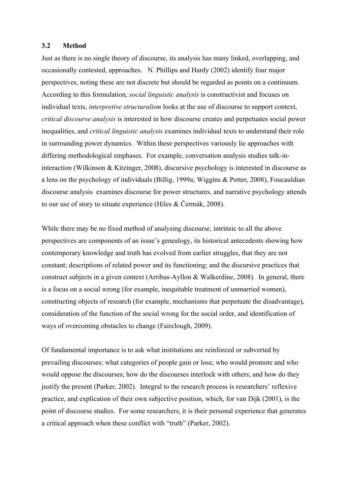## **3.2 Method**

Just as there is no single theory of discourse, its analysis has many linked, overlapping, and occasionally contested, approaches. N. Phillips and Hardy (2002) identify four major perspectives, noting these are not discrete but should be regarded as points on a continuum. According to this formulation, *social linguistic analysis* is constructivist and focuses on individual texts, *interpretive structuralism* looks at the use of discourse to support context, *critical discourse analysis* is interested in how discourse creates and perpetuates social power inequalities, and *critical linguistic analysis* examines individual texts to understand their role in surrounding power dynamics. Within these perspectives variously lie approaches with differing methodological emphases. For example, conversation analysis studies talk-ininteraction (Wilkinson & Kitzinger, 2008), discursive psychology is interested in discourse as a lens on the psychology of individuals (Billig, 1999a; Wiggins & Potter, 2008), Foucauldian discourse analysis examines discourse for power structures, and narrative psychology attends to our use of story to situate experience (Hiles & Čermák, 2008).

While there may be no fixed method of analysing discourse, intrinsic to all the above perspectives are components of an issue's genealogy, its historical antecedents showing how contemporary knowledge and truth has evolved from earlier struggles, that they are not constant; descriptions of related power and its functioning; and the discursive practices that construct subjects in a given context (Arribas-Ayllon & Walkerdine, 2008). In general, there is a focus on a social wrong (for example, inequitable treatment of unmarried women), constructing objects of research (for example, mechanisms that perpetuate the disadvantage), consideration of the function of the social wrong for the social order, and identification of ways of overcoming obstacles to change (Fairclough, 2009).

Of fundamental importance is to ask what institutions are reinforced or subverted by prevailing discourses; what categories of people gain or lose; who would promote and who would oppose the discourses; how do the discourses interlock with others; and how do they justify the present (Parker, 2002). Integral to the research process is researchers' reflexive practice, and explication of their own subjective position, which, for van Dijk (2001), is the point of discourse studies. For some researchers, it is their personal experience that generates a critical approach when these conflict with "truth" (Parker, 2002).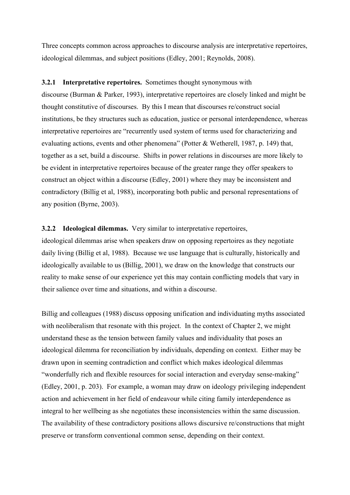Three concepts common across approaches to discourse analysis are interpretative repertoires, ideological dilemmas, and subject positions (Edley, 2001; Reynolds, 2008).

#### **3.2.1 Interpretative repertoires.** Sometimes thought synonymous with

discourse (Burman & Parker, 1993), interpretative repertoires are closely linked and might be thought constitutive of discourses. By this I mean that discourses re/construct social institutions, be they structures such as education, justice or personal interdependence, whereas interpretative repertoires are "recurrently used system of terms used for characterizing and evaluating actions, events and other phenomena" (Potter & Wetherell, 1987, p. 149) that, together as a set, build a discourse. Shifts in power relations in discourses are more likely to be evident in interpretative repertoires because of the greater range they offer speakers to construct an object within a discourse (Edley, 2001) where they may be inconsistent and contradictory (Billig et al, 1988), incorporating both public and personal representations of any position (Byrne, 2003).

## **3.2.2 Ideological dilemmas.** Very similar to interpretative repertoires,

ideological dilemmas arise when speakers draw on opposing repertoires as they negotiate daily living (Billig et al, 1988). Because we use language that is culturally, historically and ideologically available to us (Billig, 2001), we draw on the knowledge that constructs our reality to make sense of our experience yet this may contain conflicting models that vary in their salience over time and situations, and within a discourse.

Billig and colleagues (1988) discuss opposing unification and individuating myths associated with neoliberalism that resonate with this project. In the context of Chapter 2, we might understand these as the tension between family values and individuality that poses an ideological dilemma for reconciliation by individuals, depending on context. Either may be drawn upon in seeming contradiction and conflict which makes ideological dilemmas "wonderfully rich and flexible resources for social interaction and everyday sense-making" (Edley, 2001, p. 203). For example, a woman may draw on ideology privileging independent action and achievement in her field of endeavour while citing family interdependence as integral to her wellbeing as she negotiates these inconsistencies within the same discussion. The availability of these contradictory positions allows discursive re/constructions that might preserve or transform conventional common sense, depending on their context.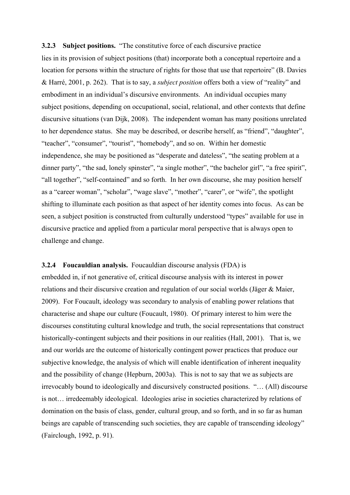## **3.2.3 Subject positions.** "The constitutive force of each discursive practice

lies in its provision of subject positions (that) incorporate both a conceptual repertoire and a location for persons within the structure of rights for those that use that repertoire" (B. Davies & Harré, 2001, p. 262). That is to say, a *subject position* offers both a view of "reality" and embodiment in an individual's discursive environments. An individual occupies many subject positions, depending on occupational, social, relational, and other contexts that define discursive situations (van Dijk, 2008). The independent woman has many positions unrelated to her dependence status. She may be described, or describe herself, as "friend", "daughter", "teacher", "consumer", "tourist", "homebody", and so on. Within her domestic independence, she may be positioned as "desperate and dateless", "the seating problem at a dinner party", "the sad, lonely spinster", "a single mother", "the bachelor girl", "a free spirit", "all together", "self-contained" and so forth. In her own discourse, she may position herself as a "career woman", "scholar", "wage slave", "mother", "carer", or "wife", the spotlight shifting to illuminate each position as that aspect of her identity comes into focus. As can be seen, a subject position is constructed from culturally understood "types" available for use in discursive practice and applied from a particular moral perspective that is always open to challenge and change.

## **3.2.4 Foucauldian analysis.** Foucauldian discourse analysis (FDA) is

embedded in, if not generative of, critical discourse analysis with its interest in power relations and their discursive creation and regulation of our social worlds (Jäger & Maier, 2009). For Foucault, ideology was secondary to analysis of enabling power relations that characterise and shape our culture (Foucault, 1980). Of primary interest to him were the discourses constituting cultural knowledge and truth, the social representations that construct historically-contingent subjects and their positions in our realities (Hall, 2001). That is, we and our worlds are the outcome of historically contingent power practices that produce our subjective knowledge, the analysis of which will enable identification of inherent inequality and the possibility of change (Hepburn, 2003a). This is not to say that we as subjects are irrevocably bound to ideologically and discursively constructed positions. "… (All) discourse is not… irredeemably ideological. Ideologies arise in societies characterized by relations of domination on the basis of class, gender, cultural group, and so forth, and in so far as human beings are capable of transcending such societies, they are capable of transcending ideology" (Fairclough, 1992, p. 91).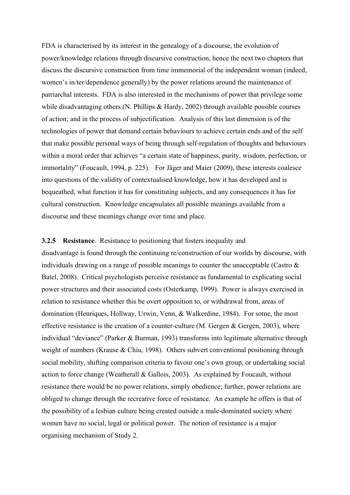FDA is characterised by its interest in the genealogy of a discourse, the evolution of power/knowledge relations through discursive construction, hence the next two chapters that discuss the discursive construction from time immemorial of the independent woman (indeed, women's in/ter/dependence generally) by the power relations around the maintenance of patriarchal interests. FDA is also interested in the mechanisms of power that privilege some while disadvantaging others  $(N.$  Phillips  $\&$  Hardy, 2002) through available possible courses of action; and in the process of subjectification. Analysis of this last dimension is of the technologies of power that demand certain behaviours to achieve certain ends and of the self that make possible personal ways of being through self-regulation of thoughts and behaviours within a moral order that achieves "a certain state of happiness, purity, wisdom, perfection, or immortality" (Foucault, 1994, p. 225). For Jäger and Maier (2009), these interests coalesce into questions of the validity of contextualised knowledge, how it has developed and is bequeathed, what function it has for constituting subjects, and any consequences it has for cultural construction. Knowledge encapsulates all possible meanings available from a discourse and these meanings change over time and place.

**3.2.5 Resistance**. Resistance to positioning that fosters inequality and disadvantage is found through the continuing re/construction of our worlds by discourse, with individuals drawing on a range of possible meanings to counter the unacceptable (Castro & Batel, 2008). Critical psychologists perceive resistance as fundamental to explicating social power structures and their associated costs (Osterkamp, 1999). Power is always exercised in relation to resistance whether this be overt opposition to, or withdrawal from, areas of domination (Henriques, Hollway, Urwin, Venn, & Walkerdine, 1984). For some, the most effective resistance is the creation of a counter-culture  $(M.$  Gergen  $\&$  Gergen, 2003), where individual "deviance" (Parker & Burman, 1993) transforms into legitimate alternative through weight of numbers (Krause & Chiu, 1998). Others subvert conventional positioning through social mobility, shifting comparison criteria to favour one's own group, or undertaking social action to force change (Weatherall & Gallois, 2003). As explained by Foucault, without resistance there would be no power relations, simply obedience; further, power relations are obliged to change through the recreative force of resistance. An example he offers is that of the possibility of a lesbian culture being created outside a male-dominated society where women have no social, legal or political power. The notion of resistance is a major organising mechanism of Study 2.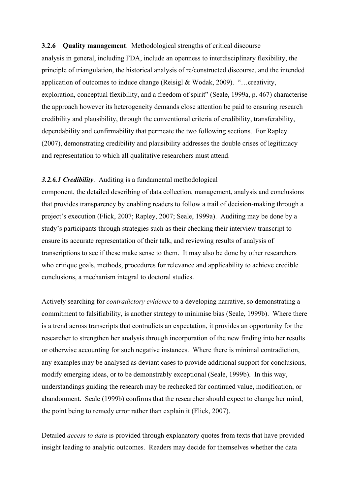# **3.2.6 Quality management**. Methodological strengths of critical discourse

analysis in general, including FDA, include an openness to interdisciplinary flexibility, the principle of triangulation, the historical analysis of re/constructed discourse, and the intended application of outcomes to induce change (Reisigl & Wodak, 2009). "…creativity, exploration, conceptual flexibility, and a freedom of spirit" (Seale, 1999a, p. 467) characterise the approach however its heterogeneity demands close attention be paid to ensuring research credibility and plausibility, through the conventional criteria of credibility, transferability, dependability and confirmability that permeate the two following sections. For Rapley (2007), demonstrating credibility and plausibility addresses the double crises of legitimacy and representation to which all qualitative researchers must attend.

## *3.2.6.1 Credibility*. Auditing is a fundamental methodological

component, the detailed describing of data collection, management, analysis and conclusions that provides transparency by enabling readers to follow a trail of decision-making through a project's execution (Flick, 2007; Rapley, 2007; Seale, 1999a). Auditing may be done by a study's participants through strategies such as their checking their interview transcript to ensure its accurate representation of their talk, and reviewing results of analysis of transcriptions to see if these make sense to them. It may also be done by other researchers who critique goals, methods, procedures for relevance and applicability to achieve credible conclusions, a mechanism integral to doctoral studies.

Actively searching for *contradictory evidence* to a developing narrative, so demonstrating a commitment to falsifiability, is another strategy to minimise bias (Seale, 1999b). Where there is a trend across transcripts that contradicts an expectation, it provides an opportunity for the researcher to strengthen her analysis through incorporation of the new finding into her results or otherwise accounting for such negative instances. Where there is minimal contradiction, any examples may be analysed as deviant cases to provide additional support for conclusions, modify emerging ideas, or to be demonstrably exceptional (Seale, 1999b). In this way, understandings guiding the research may be rechecked for continued value, modification, or abandonment. Seale (1999b) confirms that the researcher should expect to change her mind, the point being to remedy error rather than explain it (Flick, 2007).

Detailed *access to data* is provided through explanatory quotes from texts that have provided insight leading to analytic outcomes. Readers may decide for themselves whether the data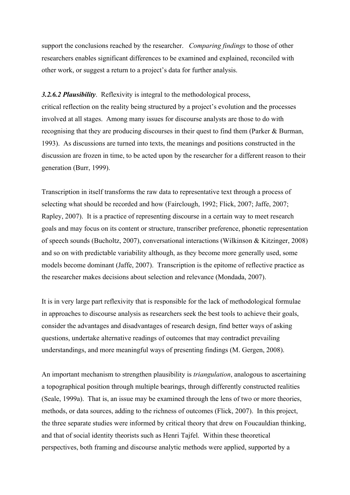support the conclusions reached by the researcher. *Comparing findings* to those of other researchers enables significant differences to be examined and explained, reconciled with other work, or suggest a return to a project's data for further analysis.

*3.2.6.2 Plausibility*. Reflexivity is integral to the methodological process, critical reflection on the reality being structured by a project's evolution and the processes involved at all stages. Among many issues for discourse analysts are those to do with recognising that they are producing discourses in their quest to find them (Parker & Burman, 1993). As discussions are turned into texts, the meanings and positions constructed in the discussion are frozen in time, to be acted upon by the researcher for a different reason to their

generation (Burr, 1999).

Transcription in itself transforms the raw data to representative text through a process of selecting what should be recorded and how (Fairclough, 1992; Flick, 2007; Jaffe, 2007; Rapley, 2007). It is a practice of representing discourse in a certain way to meet research goals and may focus on its content or structure, transcriber preference, phonetic representation of speech sounds (Bucholtz, 2007), conversational interactions (Wilkinson & Kitzinger, 2008) and so on with predictable variability although, as they become more generally used, some models become dominant (Jaffe, 2007). Transcription is the epitome of reflective practice as the researcher makes decisions about selection and relevance (Mondada, 2007).

It is in very large part reflexivity that is responsible for the lack of methodological formulae in approaches to discourse analysis as researchers seek the best tools to achieve their goals, consider the advantages and disadvantages of research design, find better ways of asking questions, undertake alternative readings of outcomes that may contradict prevailing understandings, and more meaningful ways of presenting findings (M. Gergen, 2008).

An important mechanism to strengthen plausibility is *triangulation*, analogous to ascertaining a topographical position through multiple bearings, through differently constructed realities (Seale, 1999a). That is, an issue may be examined through the lens of two or more theories, methods, or data sources, adding to the richness of outcomes (Flick, 2007). In this project, the three separate studies were informed by critical theory that drew on Foucauldian thinking, and that of social identity theorists such as Henri Tajfel. Within these theoretical perspectives, both framing and discourse analytic methods were applied, supported by a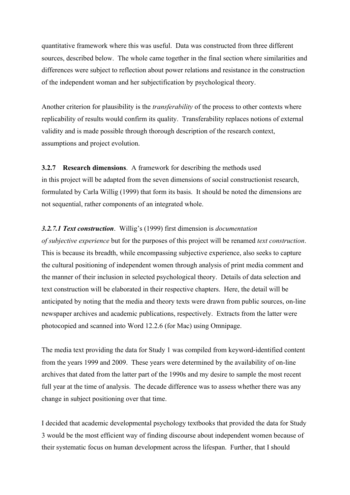quantitative framework where this was useful. Data was constructed from three different sources, described below. The whole came together in the final section where similarities and differences were subject to reflection about power relations and resistance in the construction of the independent woman and her subjectification by psychological theory.

Another criterion for plausibility is the *transferability* of the process to other contexts where replicability of results would confirm its quality. Transferability replaces notions of external validity and is made possible through thorough description of the research context, assumptions and project evolution.

# **3.2.7 Research dimensions**. A framework for describing the methods used in this project will be adapted from the seven dimensions of social constructionist research, formulated by Carla Willig (1999) that form its basis. It should be noted the dimensions are not sequential, rather components of an integrated whole.

# *3.2.7.1 Text construction*. Willig's (1999) first dimension is *documentation*

*of subjective experience* but for the purposes of this project will be renamed *text construction*. This is because its breadth, while encompassing subjective experience, also seeks to capture the cultural positioning of independent women through analysis of print media comment and the manner of their inclusion in selected psychological theory. Details of data selection and text construction will be elaborated in their respective chapters. Here, the detail will be anticipated by noting that the media and theory texts were drawn from public sources, on-line newspaper archives and academic publications, respectively. Extracts from the latter were photocopied and scanned into Word 12.2.6 (for Mac) using Omnipage.

The media text providing the data for Study 1 was compiled from keyword-identified content from the years 1999 and 2009. These years were determined by the availability of on-line archives that dated from the latter part of the 1990s and my desire to sample the most recent full year at the time of analysis. The decade difference was to assess whether there was any change in subject positioning over that time.

I decided that academic developmental psychology textbooks that provided the data for Study 3 would be the most efficient way of finding discourse about independent women because of their systematic focus on human development across the lifespan. Further, that I should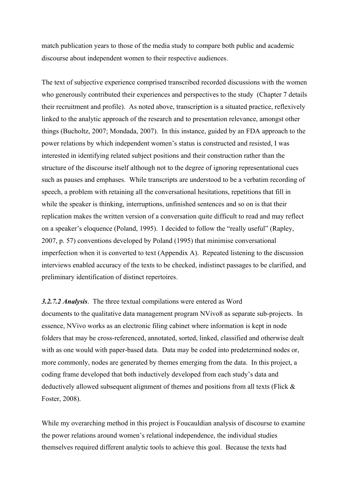match publication years to those of the media study to compare both public and academic discourse about independent women to their respective audiences.

The text of subjective experience comprised transcribed recorded discussions with the women who generously contributed their experiences and perspectives to the study (Chapter 7 details their recruitment and profile). As noted above, transcription is a situated practice, reflexively linked to the analytic approach of the research and to presentation relevance, amongst other things (Bucholtz, 2007; Mondada, 2007). In this instance, guided by an FDA approach to the power relations by which independent women's status is constructed and resisted, I was interested in identifying related subject positions and their construction rather than the structure of the discourse itself although not to the degree of ignoring representational cues such as pauses and emphases. While transcripts are understood to be a verbatim recording of speech, a problem with retaining all the conversational hesitations, repetitions that fill in while the speaker is thinking, interruptions, unfinished sentences and so on is that their replication makes the written version of a conversation quite difficult to read and may reflect on a speaker's eloquence (Poland, 1995). I decided to follow the "really useful" (Rapley, 2007, p. 57) conventions developed by Poland (1995) that minimise conversational imperfection when it is converted to text (Appendix A). Repeated listening to the discussion interviews enabled accuracy of the texts to be checked, indistinct passages to be clarified, and preliminary identification of distinct repertoires.

## *3.2.7.2 Analysis*. The three textual compilations were entered as Word

documents to the qualitative data management program NVivo8 as separate sub-projects. In essence, NVivo works as an electronic filing cabinet where information is kept in node folders that may be cross-referenced, annotated, sorted, linked, classified and otherwise dealt with as one would with paper-based data. Data may be coded into predetermined nodes or, more commonly, nodes are generated by themes emerging from the data. In this project, a coding frame developed that both inductively developed from each study's data and deductively allowed subsequent alignment of themes and positions from all texts (Flick & Foster, 2008).

While my overarching method in this project is Foucauldian analysis of discourse to examine the power relations around women's relational independence, the individual studies themselves required different analytic tools to achieve this goal. Because the texts had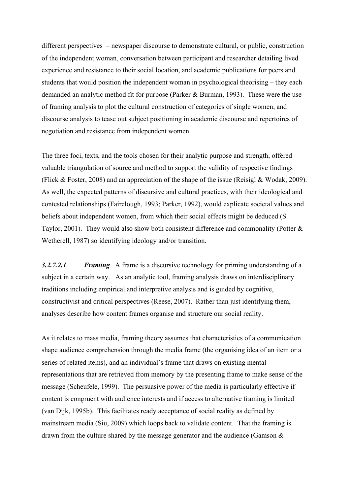different perspectives – newspaper discourse to demonstrate cultural, or public, construction of the independent woman, conversation between participant and researcher detailing lived experience and resistance to their social location, and academic publications for peers and students that would position the independent woman in psychological theorising – they each demanded an analytic method fit for purpose (Parker & Burman, 1993). These were the use of framing analysis to plot the cultural construction of categories of single women, and discourse analysis to tease out subject positioning in academic discourse and repertoires of negotiation and resistance from independent women.

The three foci, texts, and the tools chosen for their analytic purpose and strength, offered valuable triangulation of source and method to support the validity of respective findings (Flick & Foster, 2008) and an appreciation of the shape of the issue (Reisigl & Wodak, 2009). As well, the expected patterns of discursive and cultural practices, with their ideological and contested relationships (Fairclough, 1993; Parker, 1992), would explicate societal values and beliefs about independent women, from which their social effects might be deduced (S Taylor, 2001). They would also show both consistent difference and commonality (Potter & Wetherell, 1987) so identifying ideology and/or transition.

*3.2.7.2.1 Framing.* A frame is a discursive technology for priming understanding of a subject in a certain way. As an analytic tool, framing analysis draws on interdisciplinary traditions including empirical and interpretive analysis and is guided by cognitive, constructivist and critical perspectives (Reese, 2007). Rather than just identifying them, analyses describe how content frames organise and structure our social reality.

As it relates to mass media, framing theory assumes that characteristics of a communication shape audience comprehension through the media frame (the organising idea of an item or a series of related items), and an individual's frame that draws on existing mental representations that are retrieved from memory by the presenting frame to make sense of the message (Scheufele, 1999). The persuasive power of the media is particularly effective if content is congruent with audience interests and if access to alternative framing is limited (van Dijk, 1995b). This facilitates ready acceptance of social reality as defined by mainstream media (Siu, 2009) which loops back to validate content. That the framing is drawn from the culture shared by the message generator and the audience (Gamson  $\&$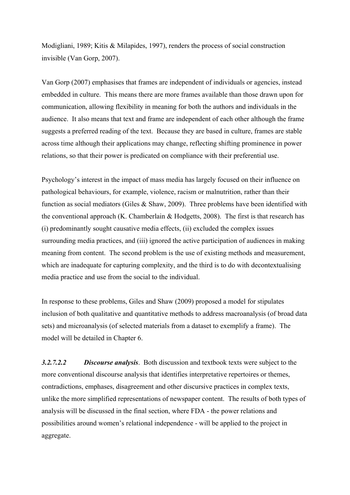Modigliani, 1989; Kitis & Milapides, 1997), renders the process of social construction invisible (Van Gorp, 2007).

Van Gorp (2007) emphasises that frames are independent of individuals or agencies, instead embedded in culture. This means there are more frames available than those drawn upon for communication, allowing flexibility in meaning for both the authors and individuals in the audience. It also means that text and frame are independent of each other although the frame suggests a preferred reading of the text. Because they are based in culture, frames are stable across time although their applications may change, reflecting shifting prominence in power relations, so that their power is predicated on compliance with their preferential use.

Psychology's interest in the impact of mass media has largely focused on their influence on pathological behaviours, for example, violence, racism or malnutrition, rather than their function as social mediators (Giles  $\&$  Shaw, 2009). Three problems have been identified with the conventional approach (K. Chamberlain & Hodgetts, 2008). The first is that research has (i) predominantly sought causative media effects, (ii) excluded the complex issues surrounding media practices, and (iii) ignored the active participation of audiences in making meaning from content. The second problem is the use of existing methods and measurement, which are inadequate for capturing complexity, and the third is to do with decontextualising media practice and use from the social to the individual.

In response to these problems, Giles and Shaw (2009) proposed a model for stipulates inclusion of both qualitative and quantitative methods to address macroanalysis (of broad data sets) and microanalysis (of selected materials from a dataset to exemplify a frame). The model will be detailed in Chapter 6.

*3.2.7.2.2 Discourse analysis*. Both discussion and textbook texts were subject to the more conventional discourse analysis that identifies interpretative repertoires or themes, contradictions, emphases, disagreement and other discursive practices in complex texts, unlike the more simplified representations of newspaper content. The results of both types of analysis will be discussed in the final section, where FDA - the power relations and possibilities around women's relational independence - will be applied to the project in aggregate.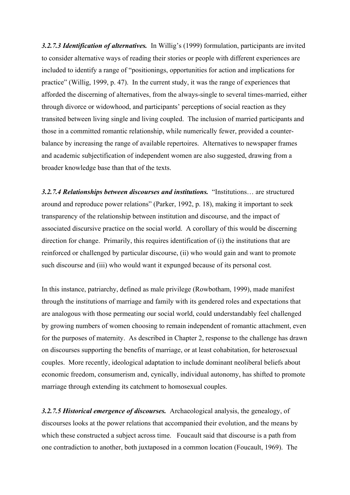*3.2.7.3 Identification of alternatives.* In Willig's (1999) formulation, participants are invited to consider alternative ways of reading their stories or people with different experiences are included to identify a range of "positionings, opportunities for action and implications for practice" (Willig, 1999, p. 47). In the current study, it was the range of experiences that afforded the discerning of alternatives, from the always-single to several times-married, either through divorce or widowhood, and participants' perceptions of social reaction as they transited between living single and living coupled. The inclusion of married participants and those in a committed romantic relationship, while numerically fewer, provided a counterbalance by increasing the range of available repertoires. Alternatives to newspaper frames and academic subjectification of independent women are also suggested, drawing from a broader knowledge base than that of the texts.

*3.2.7.4 Relationships between discourses and institutions.* "Institutions… are structured around and reproduce power relations" (Parker, 1992, p. 18), making it important to seek transparency of the relationship between institution and discourse, and the impact of associated discursive practice on the social world. A corollary of this would be discerning direction for change. Primarily, this requires identification of (i) the institutions that are reinforced or challenged by particular discourse, (ii) who would gain and want to promote such discourse and (iii) who would want it expunged because of its personal cost.

In this instance, patriarchy, defined as male privilege (Rowbotham, 1999), made manifest through the institutions of marriage and family with its gendered roles and expectations that are analogous with those permeating our social world, could understandably feel challenged by growing numbers of women choosing to remain independent of romantic attachment, even for the purposes of maternity. As described in Chapter 2, response to the challenge has drawn on discourses supporting the benefits of marriage, or at least cohabitation, for heterosexual couples. More recently, ideological adaptation to include dominant neoliberal beliefs about economic freedom, consumerism and, cynically, individual autonomy, has shifted to promote marriage through extending its catchment to homosexual couples.

*3.2.7.5 Historical emergence of discourses.* Archaeological analysis, the genealogy, of discourses looks at the power relations that accompanied their evolution, and the means by which these constructed a subject across time. Foucault said that discourse is a path from one contradiction to another, both juxtaposed in a common location (Foucault, 1969). The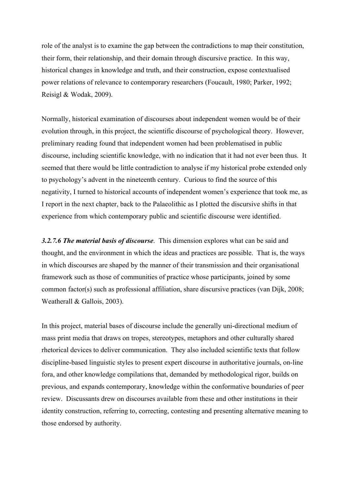role of the analyst is to examine the gap between the contradictions to map their constitution, their form, their relationship, and their domain through discursive practice. In this way, historical changes in knowledge and truth, and their construction, expose contextualised power relations of relevance to contemporary researchers (Foucault, 1980; Parker, 1992; Reisigl & Wodak, 2009).

Normally, historical examination of discourses about independent women would be of their evolution through, in this project, the scientific discourse of psychological theory. However, preliminary reading found that independent women had been problematised in public discourse, including scientific knowledge, with no indication that it had not ever been thus. It seemed that there would be little contradiction to analyse if my historical probe extended only to psychology's advent in the nineteenth century. Curious to find the source of this negativity, I turned to historical accounts of independent women's experience that took me, as I report in the next chapter, back to the Palaeolithic as I plotted the discursive shifts in that experience from which contemporary public and scientific discourse were identified.

*3.2.7.6 The material basis of discourse*. This dimension explores what can be said and thought, and the environment in which the ideas and practices are possible. That is, the ways in which discourses are shaped by the manner of their transmission and their organisational framework such as those of communities of practice whose participants, joined by some common factor(s) such as professional affiliation, share discursive practices (van Dijk, 2008; Weatherall & Gallois, 2003).

In this project, material bases of discourse include the generally uni-directional medium of mass print media that draws on tropes, stereotypes, metaphors and other culturally shared rhetorical devices to deliver communication. They also included scientific texts that follow discipline-based linguistic styles to present expert discourse in authoritative journals, on-line fora, and other knowledge compilations that, demanded by methodological rigor, builds on previous, and expands contemporary, knowledge within the conformative boundaries of peer review. Discussants drew on discourses available from these and other institutions in their identity construction, referring to, correcting, contesting and presenting alternative meaning to those endorsed by authority.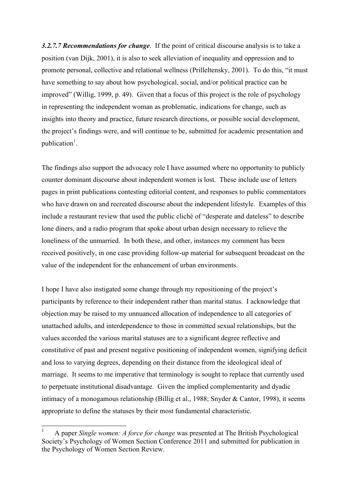*3.2.7.7 Recommendations for change*. If the point of critical discourse analysis is to take a position (van Dijk, 2001), it is also to seek alleviation of inequality and oppression and to promote personal, collective and relational wellness (Prilleltensky, 2001). To do this, "it must have something to say about how psychological, social, and/or political practice can be improved" (Willig, 1999, p. 49). Given that a focus of this project is the role of psychology in representing the independent woman as problematic, indications for change, such as insights into theory and practice, future research directions, or possible social development, the project's findings were, and will continue to be, submitted for academic presentation and publication<sup>1</sup>.

The findings also support the advocacy role I have assumed where no opportunity to publicly counter dominant discourse about independent women is lost. These include use of letters pages in print publications contesting editorial content, and responses to public commentators who have drawn on and recreated discourse about the independent lifestyle. Examples of this include a restaurant review that used the public cliché of "desperate and dateless" to describe lone diners, and a radio program that spoke about urban design necessary to relieve the loneliness of the unmarried. In both these, and other, instances my comment has been received positively, in one case providing follow-up material for subsequent broadcast on the value of the independent for the enhancement of urban environments.

I hope I have also instigated some change through my repositioning of the project's participants by reference to their independent rather than marital status. I acknowledge that objection may be raised to my unnuanced allocation of independence to all categories of unattached adults, and interdependence to those in committed sexual relationships, but the values accorded the various marital statuses are to a significant degree reflective and constitutive of past and present negative positioning of independent women, signifying deficit and loss to varying degrees, depending on their distance from the ideological ideal of marriage. It seems to me imperative that terminology is sought to replace that currently used to perpetuate institutional disadvantage. Given the implied complementarity and dyadic intimacy of a monogamous relationship (Billig et al., 1988; Snyder & Cantor, 1998), it seems appropriate to define the statuses by their most fundamental characteristic.

 $\frac{1}{1}$  A paper *Single women: A force for change* was presented at The British Psychological Society's Psychology of Women Section Conference 2011 and submitted for publication in the Psychology of Women Section Review.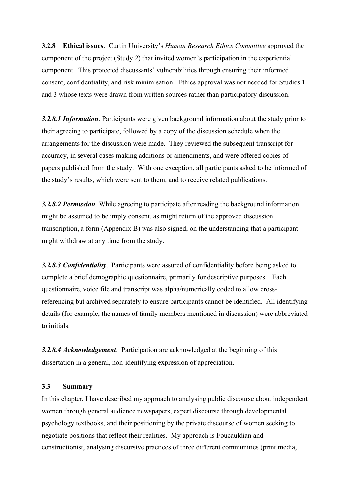**3.2.8 Ethical issues**. Curtin University's *Human Research Ethics Committee* approved the component of the project (Study 2) that invited women's participation in the experiential component. This protected discussants' vulnerabilities through ensuring their informed consent, confidentiality, and risk minimisation. Ethics approval was not needed for Studies 1 and 3 whose texts were drawn from written sources rather than participatory discussion.

*3.2.8.1 Information*. Participants were given background information about the study prior to their agreeing to participate, followed by a copy of the discussion schedule when the arrangements for the discussion were made. They reviewed the subsequent transcript for accuracy, in several cases making additions or amendments, and were offered copies of papers published from the study. With one exception, all participants asked to be informed of the study's results, which were sent to them, and to receive related publications.

*3.2.8.2 Permission*. While agreeing to participate after reading the background information might be assumed to be imply consent, as might return of the approved discussion transcription, a form (Appendix B) was also signed, on the understanding that a participant might withdraw at any time from the study.

*3.2.8.3 Confidentiality*. Participants were assured of confidentiality before being asked to complete a brief demographic questionnaire, primarily for descriptive purposes. Each questionnaire, voice file and transcript was alpha/numerically coded to allow crossreferencing but archived separately to ensure participants cannot be identified. All identifying details (for example, the names of family members mentioned in discussion) were abbreviated to initials.

*3.2.8.4 Acknowledgement*. Participation are acknowledged at the beginning of this dissertation in a general, non-identifying expression of appreciation.

## **3.3 Summary**

In this chapter, I have described my approach to analysing public discourse about independent women through general audience newspapers, expert discourse through developmental psychology textbooks, and their positioning by the private discourse of women seeking to negotiate positions that reflect their realities. My approach is Foucauldian and constructionist, analysing discursive practices of three different communities (print media,